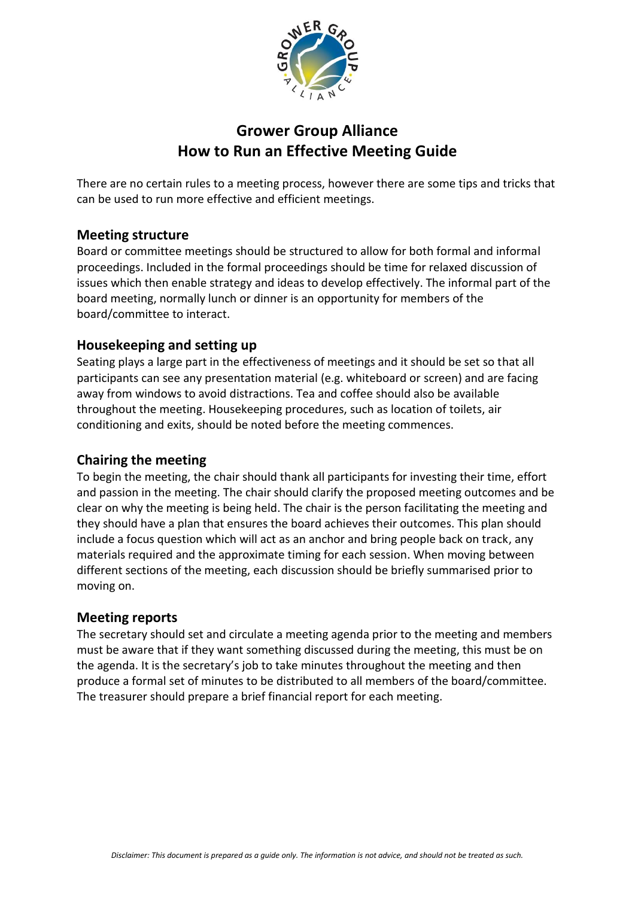

# **Grower Group Alliance How to Run an Effective Meeting Guide**

There are no certain rules to a meeting process, however there are some tips and tricks that can be used to run more effective and efficient meetings.

#### **Meeting structure**

Board or committee meetings should be structured to allow for both formal and informal proceedings. Included in the formal proceedings should be time for relaxed discussion of issues which then enable strategy and ideas to develop effectively. The informal part of the board meeting, normally lunch or dinner is an opportunity for members of the board/committee to interact.

## **Housekeeping and setting up**

Seating plays a large part in the effectiveness of meetings and it should be set so that all participants can see any presentation material (e.g. whiteboard or screen) and are facing away from windows to avoid distractions. Tea and coffee should also be available throughout the meeting. Housekeeping procedures, such as location of toilets, air conditioning and exits, should be noted before the meeting commences.

#### **Chairing the meeting**

To begin the meeting, the chair should thank all participants for investing their time, effort and passion in the meeting. The chair should clarify the proposed meeting outcomes and be clear on why the meeting is being held. The chair is the person facilitating the meeting and they should have a plan that ensures the board achieves their outcomes. This plan should include a focus question which will act as an anchor and bring people back on track, any materials required and the approximate timing for each session. When moving between different sections of the meeting, each discussion should be briefly summarised prior to moving on.

#### **Meeting reports**

The secretary should set and circulate a meeting agenda prior to the meeting and members must be aware that if they want something discussed during the meeting, this must be on the agenda. It is the secretary's job to take minutes throughout the meeting and then produce a formal set of minutes to be distributed to all members of the board/committee. The treasurer should prepare a brief financial report for each meeting.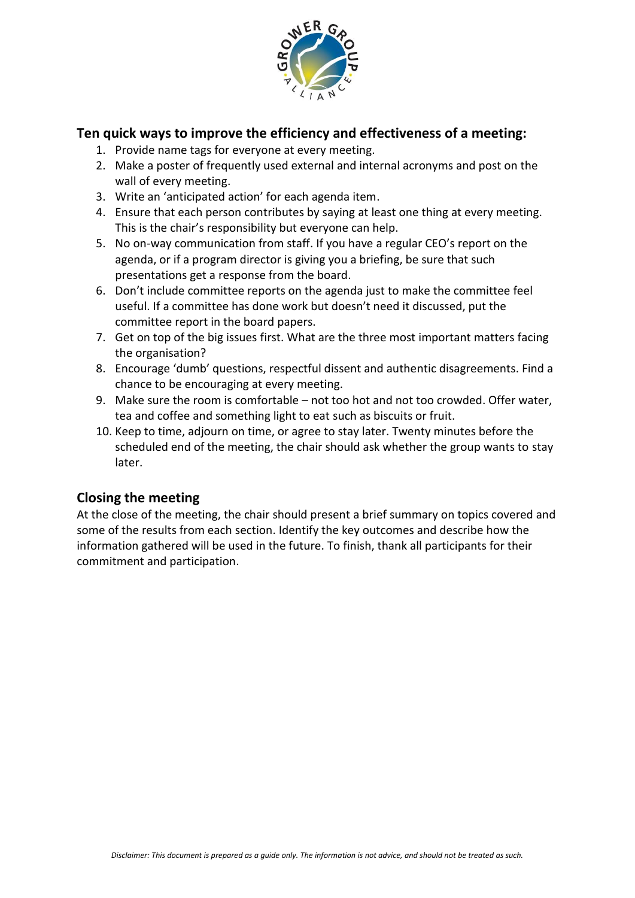

### **Ten quick ways to improve the efficiency and effectiveness of a meeting:**

- 1. Provide name tags for everyone at every meeting.
- 2. Make a poster of frequently used external and internal acronyms and post on the wall of every meeting.
- 3. Write an 'anticipated action' for each agenda item.
- 4. Ensure that each person contributes by saying at least one thing at every meeting. This is the chair's responsibility but everyone can help.
- 5. No on-way communication from staff. If you have a regular CEO's report on the agenda, or if a program director is giving you a briefing, be sure that such presentations get a response from the board.
- 6. Don't include committee reports on the agenda just to make the committee feel useful. If a committee has done work but doesn't need it discussed, put the committee report in the board papers.
- 7. Get on top of the big issues first. What are the three most important matters facing the organisation?
- 8. Encourage 'dumb' questions, respectful dissent and authentic disagreements. Find a chance to be encouraging at every meeting.
- 9. Make sure the room is comfortable not too hot and not too crowded. Offer water, tea and coffee and something light to eat such as biscuits or fruit.
- 10. Keep to time, adjourn on time, or agree to stay later. Twenty minutes before the scheduled end of the meeting, the chair should ask whether the group wants to stay later.

## **Closing the meeting**

At the close of the meeting, the chair should present a brief summary on topics covered and some of the results from each section. Identify the key outcomes and describe how the information gathered will be used in the future. To finish, thank all participants for their commitment and participation.